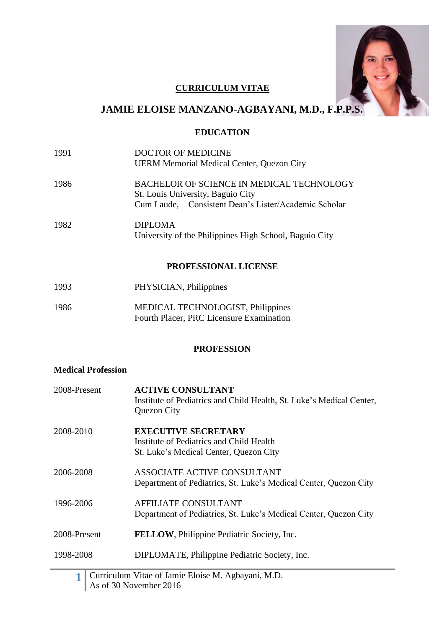

# **CURRICULUM VITAE**

# **JAMIE ELOISE MANZANO-AGBAYANI, M.D., F.P.P.S.**

# **EDUCATION**

- 1991 DOCTOR OF MEDICINE UERM Memorial Medical Center, Quezon City
- 1986 BACHELOR OF SCIENCE IN MEDICAL TECHNOLOGY St. Louis University, Baguio City Cum Laude, Consistent Dean's Lister/Academic Scholar
- 1982 DIPLOMA University of the Philippines High School, Baguio City

# **PROFESSIONAL LICENSE**

1993 PHYSICIAN, Philippines 1986 MEDICAL TECHNOLOGIST, Philippines Fourth Placer, PRC Licensure Examination

# **PROFESSION**

# **Medical Profession**

| 2008-Present | <b>ACTIVE CONSULTANT</b><br>Institute of Pediatrics and Child Health, St. Luke's Medical Center,<br>Quezon City  |
|--------------|------------------------------------------------------------------------------------------------------------------|
| 2008-2010    | <b>EXECUTIVE SECRETARY</b><br>Institute of Pediatrics and Child Health<br>St. Luke's Medical Center, Quezon City |
| 2006-2008    | ASSOCIATE ACTIVE CONSULTANT<br>Department of Pediatrics, St. Luke's Medical Center, Quezon City                  |
| 1996-2006    | <b>AFFILIATE CONSULTANT</b><br>Department of Pediatrics, St. Luke's Medical Center, Quezon City                  |
| 2008-Present | <b>FELLOW</b> , Philippine Pediatric Society, Inc.                                                               |
| 1998-2008    | DIPLOMATE, Philippine Pediatric Society, Inc.                                                                    |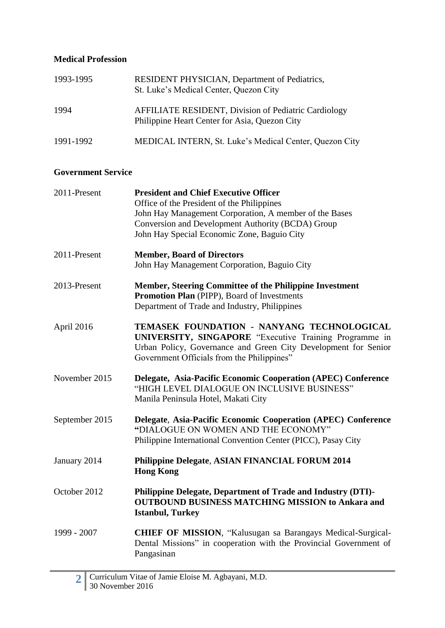# **Medical Profession**

| 1993-1995 | <b>RESIDENT PHYSICIAN, Department of Pediatrics,</b><br>St. Luke's Medical Center, Quezon City               |
|-----------|--------------------------------------------------------------------------------------------------------------|
| 1994      | <b>AFFILIATE RESIDENT, Division of Pediatric Cardiology</b><br>Philippine Heart Center for Asia, Quezon City |
| 1991-1992 | MEDICAL INTERN, St. Luke's Medical Center, Quezon City                                                       |

# **Government Service**

| 2011-Present   | <b>President and Chief Executive Officer</b><br>Office of the President of the Philippines                                                                             |
|----------------|------------------------------------------------------------------------------------------------------------------------------------------------------------------------|
|                | John Hay Management Corporation, A member of the Bases                                                                                                                 |
|                | Conversion and Development Authority (BCDA) Group<br>John Hay Special Economic Zone, Baguio City                                                                       |
|                |                                                                                                                                                                        |
| 2011-Present   | <b>Member, Board of Directors</b>                                                                                                                                      |
|                | John Hay Management Corporation, Baguio City                                                                                                                           |
| 2013-Present   | <b>Member, Steering Committee of the Philippine Investment</b>                                                                                                         |
|                | Promotion Plan (PIPP), Board of Investments<br>Department of Trade and Industry, Philippines                                                                           |
|                |                                                                                                                                                                        |
| April 2016     | TEMASEK FOUNDATION - NANYANG TECHNOLOGICAL<br>UNIVERSITY, SINGAPORE "Executive Training Programme in<br>Urban Policy, Governance and Green City Development for Senior |
|                | Government Officials from the Philippines"                                                                                                                             |
|                |                                                                                                                                                                        |
| November 2015  | Delegate, Asia-Pacific Economic Cooperation (APEC) Conference<br>"HIGH LEVEL DIALOGUE ON INCLUSIVE BUSINESS"<br>Manila Peninsula Hotel, Makati City                    |
|                |                                                                                                                                                                        |
| September 2015 | Delegate, Asia-Pacific Economic Cooperation (APEC) Conference<br>"DIALOGUE ON WOMEN AND THE ECONOMY"                                                                   |
|                | Philippine International Convention Center (PICC), Pasay City                                                                                                          |
|                |                                                                                                                                                                        |
| January 2014   | Philippine Delegate, ASIAN FINANCIAL FORUM 2014<br><b>Hong Kong</b>                                                                                                    |
| October 2012   | Philippine Delegate, Department of Trade and Industry (DTI)-                                                                                                           |
|                | <b>OUTBOUND BUSINESS MATCHING MISSION to Ankara and</b><br><b>Istanbul, Turkey</b>                                                                                     |
| 1999 - 2007    | <b>CHIEF OF MISSION, "Kalusugan sa Barangays Medical-Surgical-</b><br>Dental Missions" in cooperation with the Provincial Government of<br>Pangasinan                  |
|                |                                                                                                                                                                        |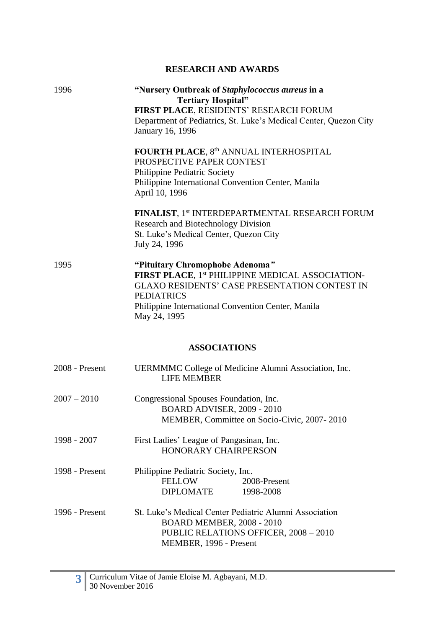# **RESEARCH AND AWARDS**

| 1996           | "Nursery Outbreak of Staphylococcus aureus in a<br><b>Tertiary Hospital"</b><br>FIRST PLACE, RESIDENTS' RESEARCH FORUM<br>Department of Pediatrics, St. Luke's Medical Center, Quezon City<br>January 16, 1996                         |
|----------------|----------------------------------------------------------------------------------------------------------------------------------------------------------------------------------------------------------------------------------------|
|                | FOURTH PLACE, 8th ANNUAL INTERHOSPITAL<br>PROSPECTIVE PAPER CONTEST<br>Philippine Pediatric Society<br>Philippine International Convention Center, Manila<br>April 10, 1996                                                            |
|                | <b>FINALIST, 1st INTERDEPARTMENTAL RESEARCH FORUM</b><br><b>Research and Biotechnology Division</b><br>St. Luke's Medical Center, Quezon City<br>July 24, 1996                                                                         |
| 1995           | "Pituitary Chromophobe Adenoma"<br>FIRST PLACE, 1st PHILIPPINE MEDICAL ASSOCIATION-<br><b>GLAXO RESIDENTS' CASE PRESENTATION CONTEST IN</b><br><b>PEDIATRICS</b><br>Philippine International Convention Center, Manila<br>May 24, 1995 |
|                | <b>ASSOCIATIONS</b>                                                                                                                                                                                                                    |
| 2008 - Present | UERMMMC College of Medicine Alumni Association, Inc.<br><b>LIFE MEMBER</b>                                                                                                                                                             |
| $2007 - 2010$  | Congressional Spouses Foundation, Inc.<br><b>BOARD ADVISER, 2009 - 2010</b><br>MEMBER, Committee on Socio-Civic, 2007-2010                                                                                                             |
| 1998 - 2007    | First Ladies' League of Pangasinan, Inc.<br><b>HONORARY CHAIRPERSON</b>                                                                                                                                                                |
| 1998 - Present | Philippine Pediatric Society, Inc.<br><b>FELLOW</b><br>2008-Present<br><b>DIPLOMATE</b><br>1998-2008                                                                                                                                   |
| 1996 - Present | St. Luke's Medical Center Pediatric Alumni Association<br><b>BOARD MEMBER, 2008 - 2010</b><br>PUBLIC RELATIONS OFFICER, 2008 - 2010<br>MEMBER, 1996 - Present                                                                          |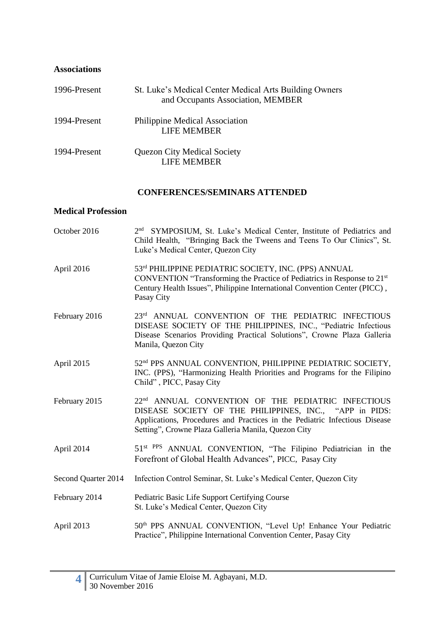# **Associations**

| 1996-Present | St. Luke's Medical Center Medical Arts Building Owners<br>and Occupants Association, MEMBER |
|--------------|---------------------------------------------------------------------------------------------|
| 1994-Present | Philippine Medical Association<br><b>LIFE MEMBER</b>                                        |
| 1994-Present | <b>Quezon City Medical Society</b><br>LIFE MEMBER                                           |

# **CONFERENCES/SEMINARS ATTENDED**

## **Medical Profession**

| October 2016        | 2 <sup>nd</sup> SYMPOSIUM, St. Luke's Medical Center, Institute of Pediatrics and<br>Child Health, "Bringing Back the Tweens and Teens To Our Clinics", St.<br>Luke's Medical Center, Quezon City                                                              |
|---------------------|----------------------------------------------------------------------------------------------------------------------------------------------------------------------------------------------------------------------------------------------------------------|
| April 2016          | 53rd PHILIPPINE PEDIATRIC SOCIETY, INC. (PPS) ANNUAL<br>CONVENTION "Transforming the Practice of Pediatrics in Response to 21 <sup>st</sup><br>Century Health Issues", Philippine International Convention Center (PICC),<br>Pasay City                        |
| February 2016       | 23rd ANNUAL CONVENTION OF THE PEDIATRIC INFECTIOUS<br>DISEASE SOCIETY OF THE PHILIPPINES, INC., "Pediatric Infectious<br>Disease Scenarios Providing Practical Solutions", Crowne Plaza Galleria<br>Manila, Quezon City                                        |
| April 2015          | 52 <sup>nd</sup> PPS ANNUAL CONVENTION, PHILIPPINE PEDIATRIC SOCIETY,<br>INC. (PPS), "Harmonizing Health Priorities and Programs for the Filipino<br>Child", PICC, Pasay City                                                                                  |
| February 2015       | 22 <sup>nd</sup> ANNUAL CONVENTION OF THE PEDIATRIC INFECTIOUS<br>DISEASE SOCIETY OF THE PHILIPPINES, INC., "APP in PIDS:<br>Applications, Procedures and Practices in the Pediatric Infectious Disease<br>Setting", Crowne Plaza Galleria Manila, Quezon City |
| April 2014          | 51 <sup>st PPS</sup> ANNUAL CONVENTION, "The Filipino Pediatrician in the<br>Forefront of Global Health Advances", PICC, Pasay City                                                                                                                            |
| Second Quarter 2014 | Infection Control Seminar, St. Luke's Medical Center, Quezon City                                                                                                                                                                                              |
| February 2014       | Pediatric Basic Life Support Certifying Course<br>St. Luke's Medical Center, Quezon City                                                                                                                                                                       |
| April 2013          | 50 <sup>th</sup> PPS ANNUAL CONVENTION, "Level Up! Enhance Your Pediatric<br>Practice", Philippine International Convention Center, Pasay City                                                                                                                 |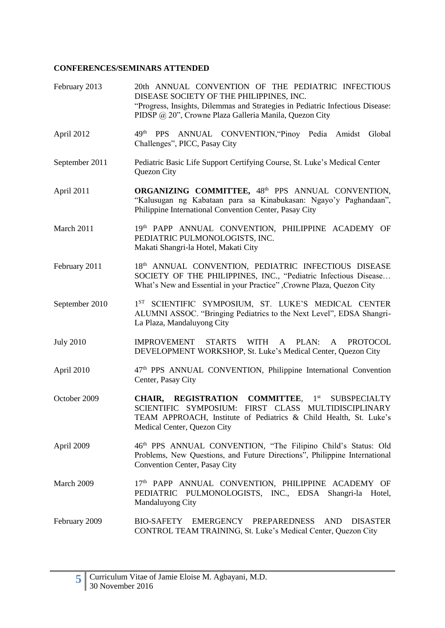| February 2013    | 20th ANNUAL CONVENTION OF THE PEDIATRIC INFECTIOUS<br>DISEASE SOCIETY OF THE PHILIPPINES, INC.<br>"Progress, Insights, Dilemmas and Strategies in Pediatric Infectious Disease:<br>PIDSP @ 20", Crowne Plaza Galleria Manila, Quezon City |
|------------------|-------------------------------------------------------------------------------------------------------------------------------------------------------------------------------------------------------------------------------------------|
| April 2012       | 49th PPS ANNUAL CONVENTION, 'Pinoy Pedia Amidst Global<br>Challenges", PICC, Pasay City                                                                                                                                                   |
| September 2011   | Pediatric Basic Life Support Certifying Course, St. Luke's Medical Center<br>Quezon City                                                                                                                                                  |
| April 2011       | ORGANIZING COMMITTEE, 48th PPS ANNUAL CONVENTION,<br>"Kalusugan ng Kabataan para sa Kinabukasan: Ngayo'y Paghandaan",<br>Philippine International Convention Center, Pasay City                                                           |
| March 2011       | 19th PAPP ANNUAL CONVENTION, PHILIPPINE ACADEMY OF<br>PEDIATRIC PULMONOLOGISTS, INC.<br>Makati Shangri-la Hotel, Makati City                                                                                                              |
| February 2011    | 18th ANNUAL CONVENTION, PEDIATRIC INFECTIOUS DISEASE<br>SOCIETY OF THE PHILIPPINES, INC., "Pediatric Infectious Disease<br>What's New and Essential in your Practice", Crowne Plaza, Quezon City                                          |
| September 2010   | 1 <sup>ST</sup> SCIENTIFIC SYMPOSIUM, ST. LUKE'S MEDICAL CENTER<br>ALUMNI ASSOC. "Bringing Pediatrics to the Next Level", EDSA Shangri-<br>La Plaza, Mandaluyong City                                                                     |
| <b>July 2010</b> | <b>IMPROVEMENT</b><br><b>STARTS</b><br>WITH<br>PLAN:<br><b>PROTOCOL</b><br>A<br>A<br>DEVELOPMENT WORKSHOP, St. Luke's Medical Center, Quezon City                                                                                         |
| April 2010       | 47 <sup>th</sup> PPS ANNUAL CONVENTION, Philippine International Convention<br>Center, Pasay City                                                                                                                                         |
| October 2009     | CHAIR, REGISTRATION COMMITTEE, 1st SUBSPECIALTY<br>SCIENTIFIC SYMPOSIUM: FIRST CLASS MULTIDISCIPLINARY<br>TEAM APPROACH, Institute of Pediatrics & Child Health, St. Luke's<br>Medical Center, Quezon City                                |
| April 2009       | 46th PPS ANNUAL CONVENTION, "The Filipino Child's Status: Old<br>Problems, New Questions, and Future Directions", Philippine International<br>Convention Center, Pasay City                                                               |
| March 2009       | 17th PAPP ANNUAL CONVENTION, PHILIPPINE ACADEMY OF<br>PEDIATRIC PULMONOLOGISTS, INC., EDSA Shangri-la Hotel,<br>Mandaluyong City                                                                                                          |
| February 2009    | BIO-SAFETY EMERGENCY PREPAREDNESS<br><b>AND</b><br><b>DISASTER</b><br>CONTROL TEAM TRAINING, St. Luke's Medical Center, Quezon City                                                                                                       |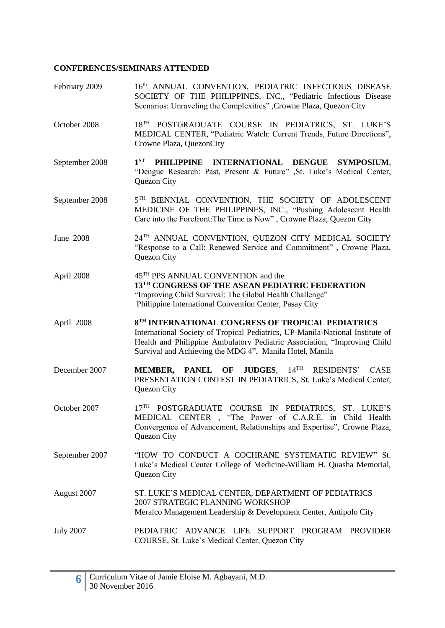| February 2009  | 16th ANNUAL CONVENTION, PEDIATRIC INFECTIOUS DISEASE<br>SOCIETY OF THE PHILIPPINES, INC., "Pediatric Infectious Disease<br>Scenarios: Unraveling the Complexities", Crowne Plaza, Quezon City                                                                             |
|----------------|---------------------------------------------------------------------------------------------------------------------------------------------------------------------------------------------------------------------------------------------------------------------------|
| October 2008   | 18TH POSTGRADUATE COURSE IN PEDIATRICS, ST. LUKE'S<br>MEDICAL CENTER, "Pediatric Watch: Current Trends, Future Directions",<br>Crowne Plaza, QuezonCity                                                                                                                   |
| September 2008 | $1^{ST}$<br>PHILIPPINE INTERNATIONAL DENGUE SYMPOSIUM,<br>"Dengue Research: Past, Present & Future" , St. Luke's Medical Center,<br>Quezon City                                                                                                                           |
| September 2008 | 5TH BIENNIAL CONVENTION, THE SOCIETY OF ADOLESCENT<br>MEDICINE OF THE PHILIPPINES, INC., "Pushing Adolescent Health<br>Care into the Forefront: The Time is Now", Crowne Plaza, Quezon City                                                                               |
| June 2008      | 24TH ANNUAL CONVENTION, QUEZON CITY MEDICAL SOCIETY<br>"Response to a Call: Renewed Service and Commitment", Crowne Plaza,<br>Quezon City                                                                                                                                 |
| April 2008     | 45 <sup>TH</sup> PPS ANNUAL CONVENTION and the<br>13TH CONGRESS OF THE ASEAN PEDIATRIC FEDERATION<br>"Improving Child Survival: The Global Health Challenge"<br>Philippine International Convention Center, Pasay City                                                    |
| April 2008     | 8TH INTERNATIONAL CONGRESS OF TROPICAL PEDIATRICS<br>International Society of Tropical Pediatrics, UP-Manila-National Institute of<br>Health and Philippine Ambulatory Pediatric Association, "Improving Child<br>Survival and Achieving the MDG 4", Manila Hotel, Manila |
|                |                                                                                                                                                                                                                                                                           |
| December 2007  | PANEL OF JUDGES, 14TH<br>RESIDENTS' CASE<br><b>MEMBER,</b><br>PRESENTATION CONTEST IN PEDIATRICS, St. Luke's Medical Center,<br>Quezon City                                                                                                                               |
| October 2007   | 17 <sup>TH</sup> POSTGRADUATE COURSE IN PEDIATRICS, ST. LUKE'S<br>MEDICAL CENTER, "The Power of C.A.R.E. in Child Health<br>Convergence of Advancement, Relationships and Expertise", Crowne Plaza,<br>Quezon City                                                        |
| September 2007 | "HOW TO CONDUCT A COCHRANE SYSTEMATIC REVIEW" St.<br>Luke's Medical Center College of Medicine-William H. Quasha Memorial,<br>Quezon City                                                                                                                                 |
| August 2007    | ST. LUKE'S MEDICAL CENTER, DEPARTMENT OF PEDIATRICS<br>2007 STRATEGIC PLANNING WORKSHOP<br>Meralco Management Leadership & Development Center, Antipolo City                                                                                                              |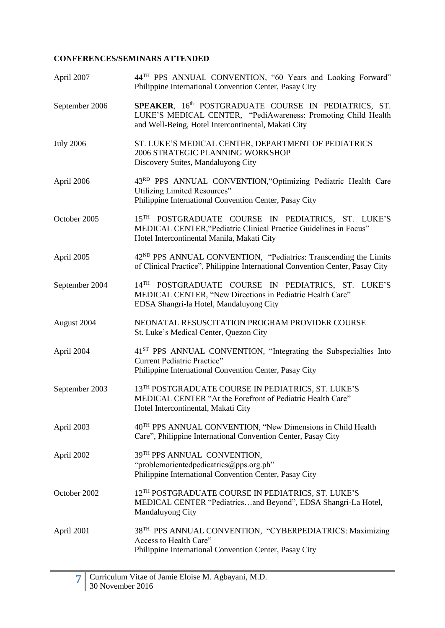| April 2007       | 44 <sup>TH</sup> PPS ANNUAL CONVENTION, "60 Years and Looking Forward"<br>Philippine International Convention Center, Pasay City                                             |
|------------------|------------------------------------------------------------------------------------------------------------------------------------------------------------------------------|
| September 2006   | SPEAKER, 16th POSTGRADUATE COURSE IN PEDIATRICS, ST.<br>LUKE'S MEDICAL CENTER, "PediAwareness: Promoting Child Health<br>and Well-Being, Hotel Intercontinental, Makati City |
| <b>July 2006</b> | ST. LUKE'S MEDICAL CENTER, DEPARTMENT OF PEDIATRICS<br>2006 STRATEGIC PLANNING WORKSHOP<br>Discovery Suites, Mandaluyong City                                                |
| April 2006       | 43RD PPS ANNUAL CONVENTION, "Optimizing Pediatric Health Care<br>Utilizing Limited Resources"<br>Philippine International Convention Center, Pasay City                      |
| October 2005     | 15TH POSTGRADUATE COURSE IN PEDIATRICS, ST. LUKE'S<br>MEDICAL CENTER, "Pediatric Clinical Practice Guidelines in Focus"<br>Hotel Intercontinental Manila, Makati City        |
| April 2005       | 42 <sup>ND</sup> PPS ANNUAL CONVENTION, "Pediatrics: Transcending the Limits<br>of Clinical Practice", Philippine International Convention Center, Pasay City                |
| September 2004   | 14TH POSTGRADUATE COURSE IN PEDIATRICS, ST. LUKE'S<br>MEDICAL CENTER, "New Directions in Pediatric Health Care"<br>EDSA Shangri-la Hotel, Mandaluyong City                   |
| August 2004      | NEONATAL RESUSCITATION PROGRAM PROVIDER COURSE<br>St. Luke's Medical Center, Quezon City                                                                                     |
| April 2004       | 41 <sup>ST</sup> PPS ANNUAL CONVENTION, "Integrating the Subspecialties Into<br>Current Pediatric Practice"<br>Philippine International Convention Center, Pasay City        |
| September 2003   | 13TH POSTGRADUATE COURSE IN PEDIATRICS, ST. LUKE'S<br>MEDICAL CENTER "At the Forefront of Pediatric Health Care"<br>Hotel Intercontinental, Makati City                      |
| April 2003       | 40 <sup>TH</sup> PPS ANNUAL CONVENTION, "New Dimensions in Child Health<br>Care", Philippine International Convention Center, Pasay City                                     |
| April 2002       | 39TH PPS ANNUAL CONVENTION,<br>"problemorientedpedicatrics@pps.org.ph"<br>Philippine International Convention Center, Pasay City                                             |
| October 2002     | 12 <sup>TH</sup> POSTGRADUATE COURSE IN PEDIATRICS, ST. LUKE'S<br>MEDICAL CENTER "Pediatricsand Beyond", EDSA Shangri-La Hotel,<br><b>Mandaluyong City</b>                   |
| April 2001       | 38 <sup>TH</sup> PPS ANNUAL CONVENTION, "CYBERPEDIATRICS: Maximizing<br>Access to Health Care"<br>Philippine International Convention Center, Pasay City                     |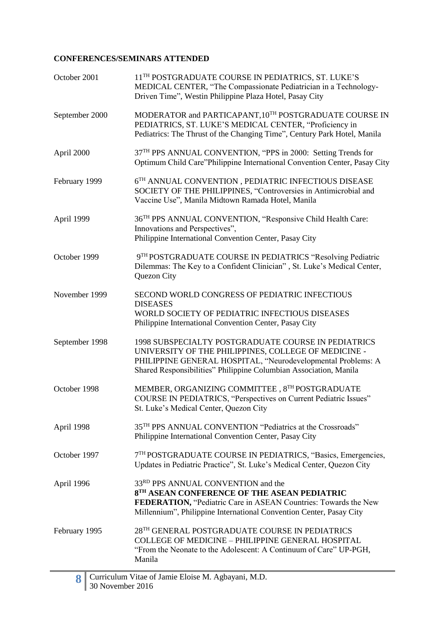| October 2001   | 11 <sup>TH</sup> POSTGRADUATE COURSE IN PEDIATRICS, ST. LUKE'S<br>MEDICAL CENTER, "The Compassionate Pediatrician in a Technology-<br>Driven Time", Westin Philippine Plaza Hotel, Pasay City                                                    |
|----------------|--------------------------------------------------------------------------------------------------------------------------------------------------------------------------------------------------------------------------------------------------|
| September 2000 | MODERATOR and PARTICAPANT, 10TH POSTGRADUATE COURSE IN<br>PEDIATRICS, ST. LUKE'S MEDICAL CENTER, "Proficiency in<br>Pediatrics: The Thrust of the Changing Time", Century Park Hotel, Manila                                                     |
| April 2000     | 37 <sup>TH</sup> PPS ANNUAL CONVENTION, "PPS in 2000: Setting Trends for<br>Optimum Child Care"Philippine International Convention Center, Pasay City                                                                                            |
| February 1999  | $6^{\mathrm{TH}}$ ANNUAL CONVENTION , PEDIATRIC INFECTIOUS DISEASE<br>SOCIETY OF THE PHILIPPINES, "Controversies in Antimicrobial and<br>Vaccine Use", Manila Midtown Ramada Hotel, Manila                                                       |
| April 1999     | 36 <sup>TH</sup> PPS ANNUAL CONVENTION, "Responsive Child Health Care:<br>Innovations and Perspectives",<br>Philippine International Convention Center, Pasay City                                                                               |
| October 1999   | 9TH POSTGRADUATE COURSE IN PEDIATRICS "Resolving Pediatric<br>Dilemmas: The Key to a Confident Clinician", St. Luke's Medical Center,<br>Quezon City                                                                                             |
| November 1999  | SECOND WORLD CONGRESS OF PEDIATRIC INFECTIOUS<br><b>DISEASES</b><br>WORLD SOCIETY OF PEDIATRIC INFECTIOUS DISEASES<br>Philippine International Convention Center, Pasay City                                                                     |
| September 1998 | 1998 SUBSPECIALTY POSTGRADUATE COURSE IN PEDIATRICS<br>UNIVERSITY OF THE PHILIPPINES, COLLEGE OF MEDICINE -<br>PHILIPPINE GENERAL HOSPITAL, "Neurodevelopmental Problems: A<br>Shared Responsibilities" Philippine Columbian Association, Manila |
| October 1998   | MEMBER, ORGANIZING COMMITTEE, 8TH POSTGRADUATE<br>COURSE IN PEDIATRICS, "Perspectives on Current Pediatric Issues"<br>St. Luke's Medical Center, Quezon City                                                                                     |
| April 1998     | 35 <sup>TH</sup> PPS ANNUAL CONVENTION "Pediatrics at the Crossroads"<br>Philippine International Convention Center, Pasay City                                                                                                                  |
| October 1997   | 7 <sup>TH</sup> POSTGRADUATE COURSE IN PEDIATRICS, "Basics, Emergencies,<br>Updates in Pediatric Practice", St. Luke's Medical Center, Quezon City                                                                                               |
| April 1996     | 33 <sup>RD</sup> PPS ANNUAL CONVENTION and the<br>8TH ASEAN CONFERENCE OF THE ASEAN PEDIATRIC<br>FEDERATION, "Pediatric Care in ASEAN Countries: Towards the New<br>Millennium", Philippine International Convention Center, Pasay City          |
| February 1995  | 28TH GENERAL POSTGRADUATE COURSE IN PEDIATRICS<br><b>COLLEGE OF MEDICINE - PHILIPPINE GENERAL HOSPITAL</b><br>"From the Neonate to the Adolescent: A Continuum of Care" UP-PGH,<br>Manila                                                        |

8 Curriculum Vitae of Jamie Eloise M. Agbayani, M.D. 30 November 2016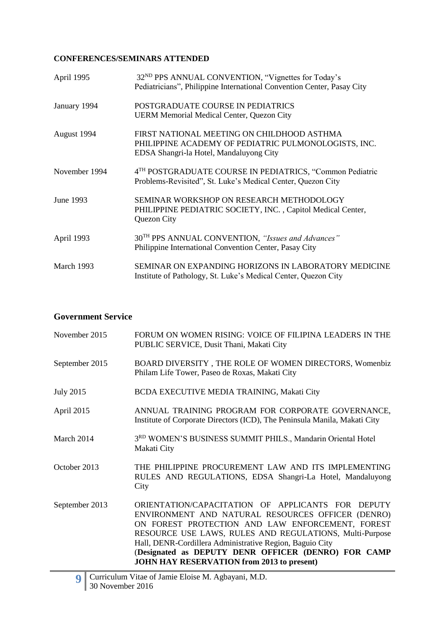| April 1995    | 32 <sup>ND</sup> PPS ANNUAL CONVENTION, "Vignettes for Today's<br>Pediatricians", Philippine International Convention Center, Pasay City      |
|---------------|-----------------------------------------------------------------------------------------------------------------------------------------------|
| January 1994  | POSTGRADUATE COURSE IN PEDIATRICS<br><b>UERM Memorial Medical Center, Quezon City</b>                                                         |
| August 1994   | FIRST NATIONAL MEETING ON CHILDHOOD ASTHMA<br>PHILIPPINE ACADEMY OF PEDIATRIC PULMONOLOGISTS, INC.<br>EDSA Shangri-la Hotel, Mandaluyong City |
| November 1994 | 4 <sup>TH</sup> POSTGRADUATE COURSE IN PEDIATRICS, "Common Pediatric<br>Problems-Revisited", St. Luke's Medical Center, Quezon City           |
| June 1993     | SEMINAR WORKSHOP ON RESEARCH METHODOLOGY<br>PHILIPPINE PEDIATRIC SOCIETY, INC., Capitol Medical Center,<br>Quezon City                        |
| April 1993    | 30 <sup>TH</sup> PPS ANNUAL CONVENTION, "Issues and Advances"<br>Philippine International Convention Center, Pasay City                       |
| March 1993    | SEMINAR ON EXPANDING HORIZONS IN LABORATORY MEDICINE<br>Institute of Pathology, St. Luke's Medical Center, Quezon City                        |

### **Government Service**

| November 2015    | FORUM ON WOMEN RISING: VOICE OF FILIPINA LEADERS IN THE<br>PUBLIC SERVICE, Dusit Thani, Makati City                                                                                                                                                                                                                                                                                           |
|------------------|-----------------------------------------------------------------------------------------------------------------------------------------------------------------------------------------------------------------------------------------------------------------------------------------------------------------------------------------------------------------------------------------------|
| September 2015   | BOARD DIVERSITY, THE ROLE OF WOMEN DIRECTORS, Womenbiz<br>Philam Life Tower, Paseo de Roxas, Makati City                                                                                                                                                                                                                                                                                      |
| <b>July 2015</b> | <b>BCDA EXECUTIVE MEDIA TRAINING, Makati City</b>                                                                                                                                                                                                                                                                                                                                             |
| April 2015       | ANNUAL TRAINING PROGRAM FOR CORPORATE GOVERNANCE,<br>Institute of Corporate Directors (ICD), The Peninsula Manila, Makati City                                                                                                                                                                                                                                                                |
| March 2014       | 3RD WOMEN'S BUSINESS SUMMIT PHILS., Mandarin Oriental Hotel<br>Makati City                                                                                                                                                                                                                                                                                                                    |
| October 2013     | THE PHILIPPINE PROCUREMENT LAW AND ITS IMPLEMENTING<br>RULES AND REGULATIONS, EDSA Shangri-La Hotel, Mandaluyong<br>City                                                                                                                                                                                                                                                                      |
| September 2013   | ORIENTATION/CAPACITATION OF APPLICANTS FOR DEPUTY<br>ENVIRONMENT AND NATURAL RESOURCES OFFICER (DENRO)<br>ON FOREST PROTECTION AND LAW ENFORCEMENT, FOREST<br>RESOURCE USE LAWS, RULES AND REGULATIONS, Multi-Purpose<br>Hall, DENR-Cordillera Administrative Region, Baguio City<br>(Designated as DEPUTY DENR OFFICER (DENRO) FOR CAMP<br><b>JOHN HAY RESERVATION from 2013 to present)</b> |